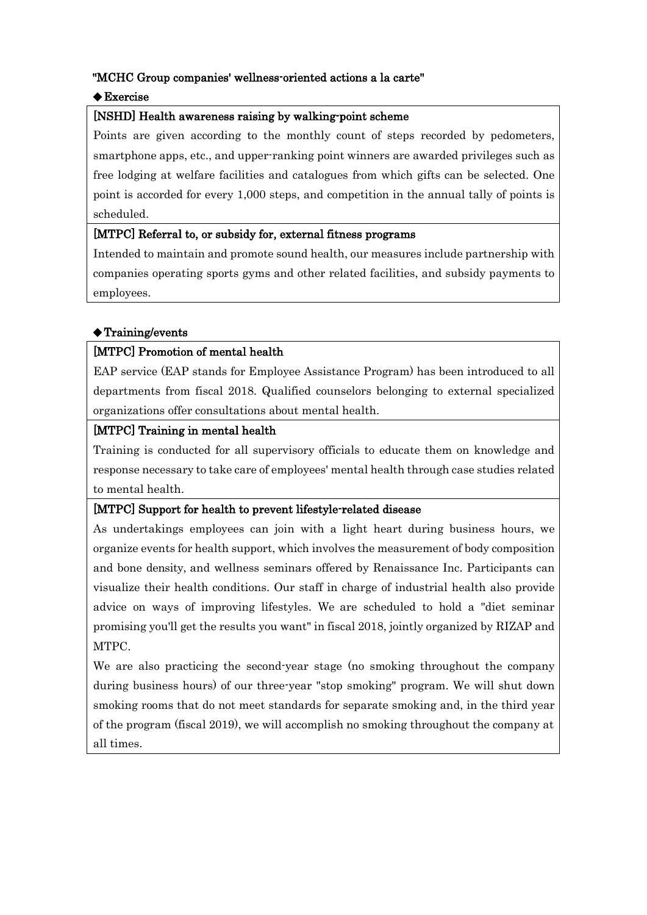### "MCHC Group companies' wellness-oriented actions a la carte"

# ◆Exercise

### [NSHD] Health awareness raising by walking-point scheme

Points are given according to the monthly count of steps recorded by pedometers, smartphone apps, etc., and upper-ranking point winners are awarded privileges such as free lodging at welfare facilities and catalogues from which gifts can be selected. One point is accorded for every 1,000 steps, and competition in the annual tally of points is scheduled.

# [MTPC] Referral to, or subsidy for, external fitness programs

Intended to maintain and promote sound health, our measures include partnership with companies operating sports gyms and other related facilities, and subsidy payments to employees.

# ◆Training/events

# [MTPC] Promotion of mental health

EAP service (EAP stands for Employee Assistance Program) has been introduced to all departments from fiscal 2018. Qualified counselors belonging to external specialized organizations offer consultations about mental health.

# [MTPC] Training in mental health

Training is conducted for all supervisory officials to educate them on knowledge and response necessary to take care of employees' mental health through case studies related to mental health.

# [MTPC] Support for health to prevent lifestyle-related disease

As undertakings employees can join with a light heart during business hours, we organize events for health support, which involves the measurement of body composition and bone density, and wellness seminars offered by Renaissance Inc. Participants can visualize their health conditions. Our staff in charge of industrial health also provide advice on ways of improving lifestyles. We are scheduled to hold a "diet seminar promising you'll get the results you want" in fiscal 2018, jointly organized by RIZAP and MTPC.

We are also practicing the second-year stage (no smoking throughout the company during business hours) of our three-year "stop smoking" program. We will shut down smoking rooms that do not meet standards for separate smoking and, in the third year of the program (fiscal 2019), we will accomplish no smoking throughout the company at all times.